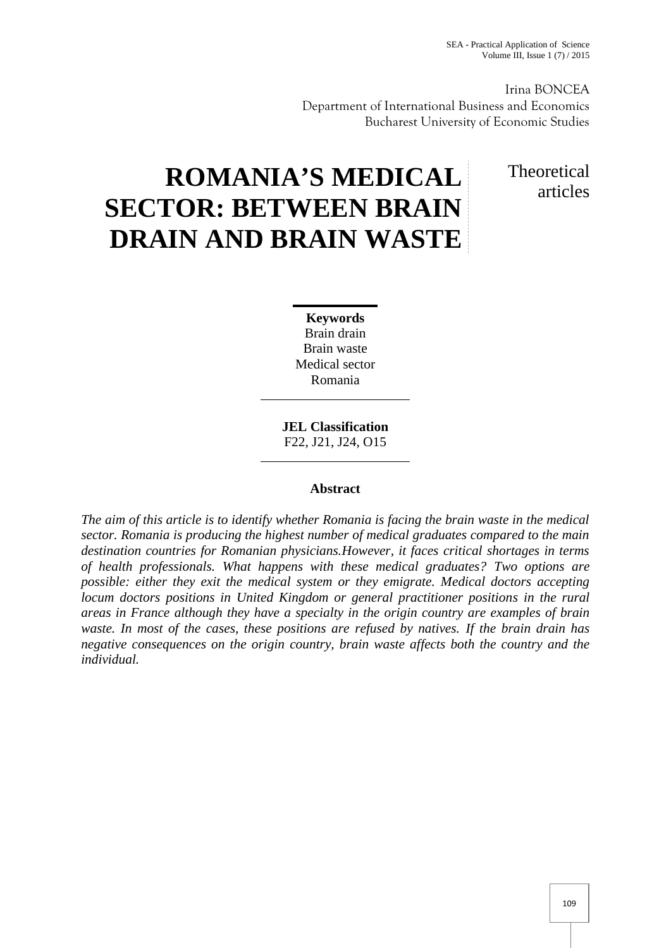Irina BONCEA Department of International Business and Economics Bucharest University of Economic Studies

# **ROMANIA'S MEDICAL SECTOR: BETWEEN BRAIN DRAIN AND BRAIN WASTE**

## Theoretical articles

**Keywords** Brain drain Brain waste Medical sector Romania

**JEL Classification** F22, J21, J24, O15

### **Abstract**

*The aim of this article is to identify whether Romania is facing the brain waste in the medical sector. Romania is producing the highest number of medical graduates compared to the main destination countries for Romanian physicians.However, it faces critical shortages in terms of health professionals. What happens with these medical graduates? Two options are possible: either they exit the medical system or they emigrate. Medical doctors accepting locum doctors positions in United Kingdom or general practitioner positions in the rural areas in France although they have a specialty in the origin country are examples of brain waste. In most of the cases, these positions are refused by natives. If the brain drain has negative consequences on the origin country, brain waste affects both the country and the individual.*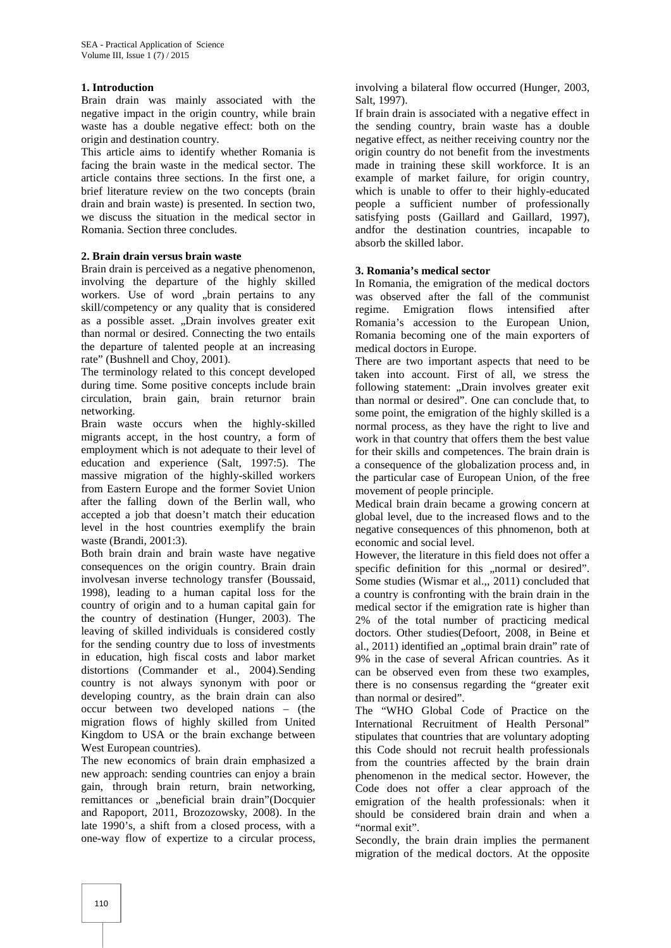#### **1. Introduction**

Brain drain was mainly associated with the negative impact in the origin country, while brain waste has a double negative effect: both on the origin and destination country.

This article aims to identify whether Romania is facing the brain waste in the medical sector. The article contains three sections. In the first one, a brief literature review on the two concepts (brain drain and brain waste) is presented. In section two, we discuss the situation in the medical sector in Romania. Section three concludes.

#### **2. Brain drain versus brain waste**

Brain drain is perceived as a negative phenomenon, involving the departure of the highly skilled workers. Use of word "brain pertains to any skill/competency or any quality that is considered regime. as a possible asset. "Drain involves greater exit than normal or desired. Connecting the two entails the departure of talented people at an increasing rate" (Bushnell and Choy, 2001).

The terminology related to this concept developed during time. Some positive concepts include brain circulation, brain gain, brain returnor brain networking.

Brain waste occurs when the highly-skilled migrants accept, in the host country, a form of employment which is not adequate to their level of education and experience (Salt, 1997:5). The massive migration of the highly-skilled workers from Eastern Europe and the former Soviet Union after the falling down of the Berlin wall, who accepted a job that doesn't match their education level in the host countries exemplify the brain waste (Brandi, 2001:3).

Both brain drain and brain waste have negative consequences on the origin country. Brain drain involvesan inverse technology transfer (Boussaid, 1998), leading to a human capital loss for the country of origin and to a human capital gain for the country of destination (Hunger, 2003). The leaving of skilled individuals is considered costly for the sending country due to loss of investments in education, high fiscal costs and labor market distortions (Commander et al., 2004).Sending country is not always synonym with poor or developing country, as the brain drain can also occur between two developed nations – (the migration flows of highly skilled from United Kingdom to USA or the brain exchange between West European countries).

The new economics of brain drain emphasized a new approach: sending countries can enjoy a brain gain, through brain return, brain networking, remittances or "beneficial brain drain"(Docquier and Rapoport, 2011, Brozozowsky, 2008). In the late 1990's, a shift from a closed process, with a one-way flow of expertize to a circular process,

involving a bilateral flow occurred (Hunger, 2003, Salt, 1997).

If brain drain is associated with a negative effect in the sending country, brain waste has a double negative effect, as neither receiving country nor the origin country do not benefit from the investments made in training these skill workforce. It is an example of market failure, for origin country, which is unable to offer to their highly-educated people a sufficient number of professionally satisfying posts (Gaillard and Gaillard, 1997), andfor the destination countries, incapable to absorb the skilled labor.

#### **3. Romania's medical sector**

In Romania, the emigration of the medical doctors was observed after the fall of the communist Emigration flows intensified after Romania's accession to the European Union, Romania becoming one of the main exporters of medical doctors in Europe.

There are two important aspects that need to be taken into account. First of all, we stress the following statement: "Drain involves greater exit than normal or desired". One can conclude that, to some point, the emigration of the highly skilled is a normal process, as they have the right to live and work in that country that offers them the best value for their skills and competences. The brain drain is a consequence of the globalization process and, in the particular case of European Union, of the free movement of people principle.

Medical brain drain became a growing concern at global level, due to the increased flows and to the negative consequences of this phnomenon, both at economic and social level.

However, the literature in this field does not offer a specific definition for this "normal or desired". Some studies (Wismar et al.,, 2011) concluded that a country is confronting with the brain drain in the medical sector if the emigration rate is higher than 2% of the total number of practicing medical doctors. Other studies(Defoort, 2008, in Beine et al., 2011) identified an "optimal brain drain" rate of 9% in the case of several African countries. As it can be observed even from these two examples, there is no consensus regarding the "greater exit than normal or desired".

The "WHO Global Code of Practice on the International Recruitment of Health Personal" stipulates that countries that are voluntary adopting this Code should not recruit health professionals from the countries affected by the brain drain phenomenon in the medical sector. However, the Code does not offer a clear approach of the emigration of the health professionals: when it should be considered brain drain and when a "normal exit".

Secondly, the brain drain implies the permanent migration of the medical doctors. At the opposite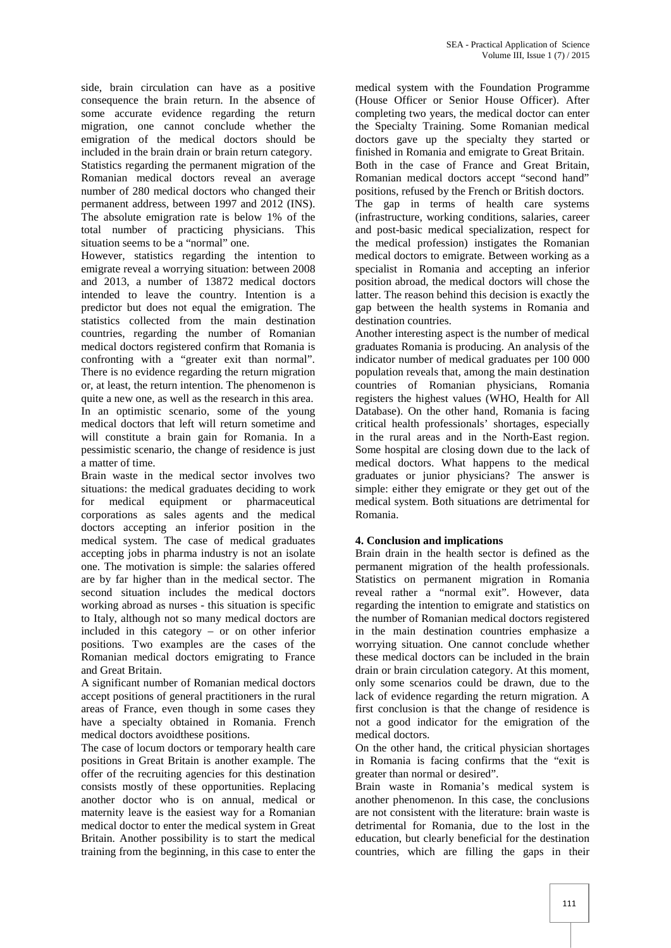side, brain circulation can have as a positive consequence the brain return. In the absence of some accurate evidence regarding the return migration, one cannot conclude whether the emigration of the medical doctors should be included in the brain drain or brain return category. Statistics regarding the permanent migration of the Romanian medical doctors reveal an average number of 280 medical doctors who changed their permanent address, between 1997 and 2012 (INS). The absolute emigration rate is below 1% of the total number of practicing physicians. This situation seems to be a "normal" one.

However, statistics regarding the intention to emigrate reveal a worrying situation: between 2008 and 2013, a number of 13872 medical doctors intended to leave the country. Intention is a predictor but does not equal the emigration. The statistics collected from the main destination countries, regarding the number of Romanian medical doctors registered confirm that Romania is confronting with a "greater exit than normal". There is no evidence regarding the return migration or, at least, the return intention. The phenomenon is quite a new one, as well as the research in this area. In an optimistic scenario, some of the young medical doctors that left will return sometime and will constitute a brain gain for Romania. In a pessimistic scenario, the change of residence is just a matter of time.

Brain waste in the medical sector involves two situations: the medical graduates deciding to work for medical equipment or pharmaceutical corporations as sales agents and the medical doctors accepting an inferior position in the medical system. The case of medical graduates accepting jobs in pharma industry is not an isolate one. The motivation is simple: the salaries offered are by far higher than in the medical sector. The second situation includes the medical doctors working abroad as nurses - this situation is specific to Italy, although not so many medical doctors are included in this category – or on other inferior positions. Two examples are the cases of the Romanian medical doctors emigrating to France and Great Britain.

A significant number of Romanian medical doctors accept positions of general practitioners in the rural areas of France, even though in some cases they have a specialty obtained in Romania. French medical doctors avoidthese positions.

The case of locum doctors or temporary health care positions in Great Britain is another example. The offer of the recruiting agencies for this destination consists mostly of these opportunities. Replacing another doctor who is on annual, medical or maternity leave is the easiest way for a Romanian medical doctor to enter the medical system in Great Britain. Another possibility is to start the medical training from the beginning, in this case to enter the

medical system with the Foundation Programme (House Officer or Senior House Officer). After completing two years, the medical doctor can enter the Specialty Training. Some Romanian medical doctors gave up the specialty they started or finished in Romania and emigrate to Great Britain. Both in the case of France and Great Britain, Romanian medical doctors accept "second hand" positions, refused by the French or British doctors. The gap in terms of health care systems (infrastructure, working conditions, salaries, career and post-basic medical specialization, respect for the medical profession) instigates the Romanian medical doctors to emigrate. Between working as a specialist in Romania and accepting an inferior position abroad, the medical doctors will chose the latter. The reason behind this decision is exactly the gap between the health systems in Romania and

destination countries. Another interesting aspect is the number of medical graduates Romania is producing. An analysis of the indicator number of medical graduates per 100 000 population reveals that, among the main destination countries of Romanian physicians, Romania registers the highest values (WHO, Health for All Database). On the other hand, Romania is facing critical health professionals' shortages, especially in the rural areas and in the North-East region. Some hospital are closing down due to the lack of medical doctors. What happens to the medical graduates or junior physicians? The answer is simple: either they emigrate or they get out of the medical system. Both situations are detrimental for Romania.

#### **4. Conclusion and implications**

Brain drain in the health sector is defined as the permanent migration of the health professionals. Statistics on permanent migration in Romania reveal rather a "normal exit". However, data regarding the intention to emigrate and statistics on the number of Romanian medical doctors registered in the main destination countries emphasize a worrying situation. One cannot conclude whether these medical doctors can be included in the brain drain or brain circulation category. At this moment, only some scenarios could be drawn, due to the lack of evidence regarding the return migration. A first conclusion is that the change of residence is not a good indicator for the emigration of the medical doctors.

On the other hand, the critical physician shortages in Romania is facing confirms that the "exit is greater than normal or desired".

Brain waste in Romania's medical system is another phenomenon. In this case, the conclusions are not consistent with the literature: brain waste is detrimental for Romania, due to the lost in the education, but clearly beneficial for the destination countries, which are filling the gaps in their